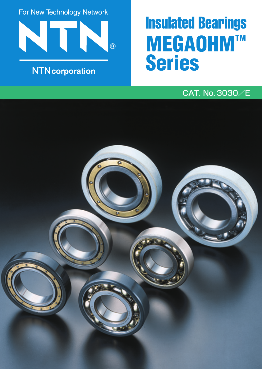For New Technology Network



# **NTN**corporation

# Insulated Bearings **MEGAOHM™ Series**

## CAT. No. 3030/E

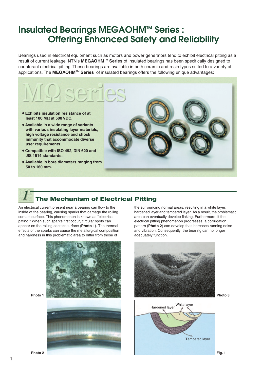## **Insulated Bearings MEGAOHM™ Series: Offering Enhanced Safety and Reliability**

Bearings used in electrical equipment such as motors and power generators tend to exhibit electrical pitting as a result of current leakage. **NTN**'s **MEGAOHM**TM **Series** of insulated bearings has been specifically designed to counteract electrical pitting. These bearings are available in both ceramic and resin types suited to a variety of applications. The **MEGAOHM**TM **Series** of insulated bearings offers the following unique advantages:



## **The Mechanism of Electrical Pitting**

An electrical current present near a bearing can flow to the inside of the bearing, causing sparks that damage the rolling contact surface. This phenomenon is known as "electrical pitting." When such sparks first occur, circular spots can appear on the rolling contact surface (**Photo 1**). The thermal effects of the sparks can cause the metallurgical composition and hardness in this problematic area to differ from those of



the surrounding normal areas, resulting in a white layer, hardened layer and tempered layer. As a result, the problematic area can eventually develop flaking. Furthermore, if the electrical pitting phenomenon progresses, a corrugation pattern (**Photo 2**) can develop that increases running noise and vibration. Consequently, the bearing can no longer adequately function.



**Photo 2**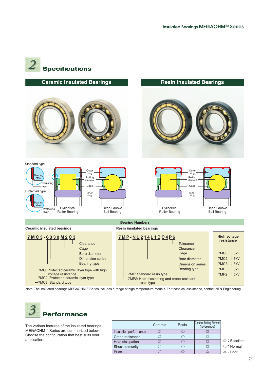

Note: The insulated bearings MEGAOHMTM Series includes a range of high-temperature models. For technical assistance, contact **NTN** Engineering.



The various features of the insulated bearings MEGAOHMTM Series are summarized below. Choose the configuration that best suits your application.

|                        | Ceramic | Resin | Ceramic Rolling Element<br>(reference) |                            |
|------------------------|---------|-------|----------------------------------------|----------------------------|
| Insulation performance |         |       |                                        |                            |
| Creep resistance       |         |       |                                        |                            |
| Heat dissipation       |         |       |                                        | $\circledcirc$ : Excellent |
| Shock immunity         |         |       |                                        | $\bigcirc$ : Normal        |
| Price                  |         |       |                                        | $\triangle$ : Poor         |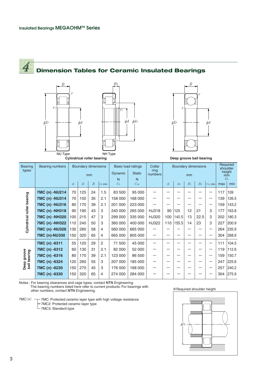# **Dimension Tables for Ceramic Insulated Bearings**

*B*2







**Cylindrical roller bearing**

**Deep groove ball bearing**

| <b>Bearing</b><br>types     | <b>Bearing numbers</b> | <b>Boundary dimensions</b> |                |                  | <b>Basic load ratings</b> |               | Collar<br>ring | <b>Boundary dimensions</b> |                |       |                | Required<br>shoulder |              |     |       |
|-----------------------------|------------------------|----------------------------|----------------|------------------|---------------------------|---------------|----------------|----------------------------|----------------|-------|----------------|----------------------|--------------|-----|-------|
|                             |                        | mm                         |                |                  | <b>Dynamic</b>            | <b>Static</b> | numbers        | mm                         |                |       |                | height<br>mm         |              |     |       |
|                             |                        |                            |                |                  | N                         | N             |                |                            |                |       | $D_{\rm a}$    |                      |              |     |       |
|                             |                        | $\overline{d}$             | $\overline{D}$ | $\boldsymbol{B}$ | $\gamma$ s min            | $C_{r}$       | Cor            |                            | $\overline{d}$ | $d_1$ | B <sub>1</sub> | B <sub>2</sub>       | $r_{1s}$ min | max | min   |
| Cylindrical roller bearing  | 7MC (n) -NU214         | 70                         | 125            | 24               | 1.5                       | 83 500        | 95 000         |                            |                |       |                |                      |              | 117 | 109   |
|                             | 7MC (n) -NU314         | 70                         | 150            | 35               | 2.1                       | 158 000       | 168 000        |                            |                |       |                |                      |              | 139 | 126.5 |
|                             | 7MC (n) -NU316         | 80                         | 170            | 39               | 2.1                       | 201 000       | 223 000        |                            |                |       |                |                      |              | 159 | 143.2 |
|                             | 7MC (n) -NH318         | 90                         | 190            | 43               | 3                         | 240 000       | 265 000        | HJ318                      | 90             | 125   | 12             | 21                   | 3            | 177 | 163.8 |
|                             | 7MC (n) -NH320         | 100                        | 215            | 47               | 3                         | 299 000       | 335 000        | HJ320                      | 100            | 140.5 | 13             | 22.5                 | 3            | 202 | 180.3 |
|                             | 7MC (n) -NH322         | 110                        | 240            | 50               | 3                         | 360 000       | 400 000        | HJ322                      | 110            | 155.5 | 14             | 23                   | 3            | 227 | 200.9 |
|                             | 7MC (n) -NU326         | 130                        | 280            | 58               | $\overline{4}$            | 560 000       | 665 000        |                            |                |       |                |                      |              | 264 | 235.9 |
|                             | <b>7MC (n)-NU330</b>   | 150                        | 320            | 65               | $\overline{4}$            | 665 000       | 805 000        |                            |                |       |                |                      |              | 304 | 268.9 |
| Deep groove<br>ball bearing | 7MC (n) -6311          | 55                         | 120            | 29               | $\mathbf{2}$              | 71 500        | 45 000         |                            |                |       |                |                      |              | 111 | 104.5 |
|                             | 7MC (n) -6312          | 60                         | 130            | 31               | 2.1                       | 82 000        | 52 000         |                            |                |       |                |                      |              | 119 | 112.6 |
|                             | 7MC (n) -6316          | 80                         | 170            | 39               | 2.1                       | 123 000       | 86 500         |                            |                |       |                |                      |              | 159 | 150.7 |
|                             | 7MC (n) -6324          | 120                        | 260            | 55               | 3                         | 207 000       | 185 000        | —                          |                |       |                |                      |              | 247 | 225.6 |
|                             | 7MC (n) -6230          | 150                        | 270            | 45               | 3                         | 176 000       | 168 000        |                            |                |       |                |                      |              | 257 | 240.2 |
|                             | 7MC (n) -6330          | 150                        | 320            | 65               | $\overline{4}$            | 274 000       | 284 000        |                            |                |       |                |                      |              | 304 | 275.9 |
|                             |                        |                            |                |                  |                           |               |                |                            |                |       |                |                      |              |     |       |

Notes : For bearing clearances and cage types, contact **NTN** Engineering. The bearing numbers listed here refer to current products. For bearings with **the same of the sout-team** other numbers, contact NTN Engineering.

 $\top$  7MC: Protected ceramic layer type with high voltage resistance 7MC2: Protected ceramic layer type 7MC3: Standard type 7MC(n)

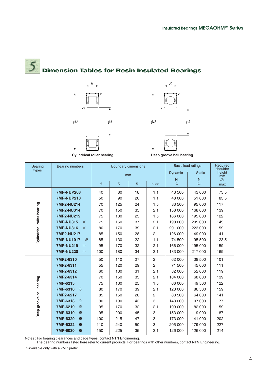## **Dimension Tables for Resin Insulated Bearings**







| <b>Bearing</b>             | <b>Bearing numbers</b> | <b>Boundary dimensions</b><br>mm |                |                  |                | <b>Basic load ratings</b> | Required<br>shoulder |                           |
|----------------------------|------------------------|----------------------------------|----------------|------------------|----------------|---------------------------|----------------------|---------------------------|
| types                      |                        |                                  |                |                  |                | Dynamic                   | <b>Static</b>        | height<br>$\overline{mm}$ |
|                            |                        |                                  |                |                  |                | N                         | N                    | D <sub>a</sub>            |
|                            |                        | $\overline{d}$                   | $\overline{D}$ | $\boldsymbol{B}$ | $\gamma$ s min | $C_{r}$                   | Cor                  | max                       |
|                            | <b>7MP-NUP208</b>      | 40                               | 80             | 18               | 1.1            | 43 500                    | 43 000               | 73.5                      |
|                            | <b>7MP-NUP210</b>      | 50                               | 90             | 20               | 1.1            | 48 000                    | 51 000               | 83.5                      |
|                            | 7MP2-NU214             | 70                               | 125            | 24               | 1.5            | 83 500                    | 95 000               | 117                       |
|                            | <b>7MP2-NU314</b>      | 70                               | 150            | 35               | 2.1            | 158 000                   | 168 000              | 139                       |
|                            | <b>7MP2-NU215</b>      | 75                               | 130            | 25               | 1.5            | 166 000                   | 195 000              | 122                       |
|                            | <b>7MP-NU315</b><br>☀  | 75                               | 160            | 37               | 2.1            | 190 000                   | 205 000              | 149                       |
| Cylindrical roller bearing | <b>7MP-NU316</b><br>☀  | 80                               | 170            | 39               | 2.1            | 201 000                   | 223 000              | 159                       |
|                            | <b>7MP2-NU217</b>      | 85                               | 150            | 28               | $\overline{2}$ | 126 000                   | 149 000              | 141                       |
|                            | <b>7MP-NU1017</b><br>☀ | 85                               | 130            | 22               | 1.1            | 74 500                    | 95 500               | 123.5                     |
|                            | <b>7MP-NU219</b><br>☀  | 95                               | 170            | 32               | 2.1            | 166 000                   | 195 000              | 159                       |
|                            | <b>7MP-NU220</b><br>☀  | 100                              | 180            | 34               | 2.1            | 183 000                   | 217 000              | 169                       |
|                            | 7MP2-6310              | 50                               | 110            | 27               | $\mathbf{2}$   | 62 000                    | 38 500               | 101                       |
| Deep groove ball bearing   | 7MP2-6311              | 55                               | 120            | 29               | $\overline{c}$ | 71 500                    | 45 000               | 111                       |
|                            | 7MP2-6312              | 60                               | 130            | 31               | 2.1            | 82 000                    | 52 000               | 119                       |
|                            | 7MP2-6314              | 70                               | 150            | 35               | 2.1            | 104 000                   | 68 000               | 139                       |
|                            | 7MP-6215               | 75                               | 130            | 25               | 1.5            | 66 000                    | 49 500               | 122                       |
|                            | 7MP-6316<br>☀          | 80                               | 170            | 39               | 2.1            | 123 000                   | 86 500               | 159                       |
|                            | 7MP2-6217              | 85                               | 150            | 28               | $\overline{c}$ | 83 500                    | 64 000               | 141                       |
|                            | 7MP-6318<br>☀          | 90                               | 190            | 43               | 3              | 143 000                   | 107 000              | 177                       |
|                            | 7MP-6219<br>☀          | 95                               | 170            | 32               | 2.1            | 109 000                   | 82 000               | 159                       |
|                            | 7MP-6319<br>☀          | 95                               | 200            | 45               | 3              | 153 000                   | 119 000              | 187                       |
|                            | 7MP-6320<br>☀          | 100                              | 215            | 47               | 3              | 173 000                   | 141 000              | 202                       |
|                            | 7MP-6322<br>☀          | 110                              | 240            | 50               | 3              | 205 000                   | 179 000              | 227                       |
|                            | 7MP-6030<br>☀          | 150                              | 225            | 35               | 2.1            | 126 000                   | 126 000              | 214                       |

Notes : For bearing clearances and cage types, contact **NTN** Engineering.

The bearing numbers listed here refer to current products. For bearings with other numbers, contact **NTN** Engineering.

※Available only with a 7MP prefix.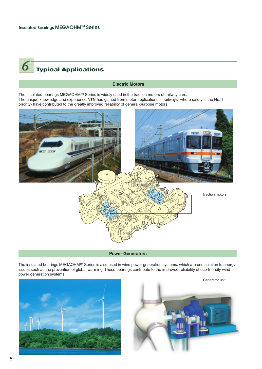# **Typical Applications**

#### **Electric Motors**

The insulated bearings MEGAOHM™ Series is widely used in the traction motors of railway cars. The unique knowledge and experience **NTN** has gained from motor applications in railways- where safety is the No. 1 priority- have contributed to the greatly improved reliability of general-purpose motors.



**Power Generators**

The insulated bearings MEGAOHM™ Series is also used in wind power generation systems, which are one solution to energy issues such as the prevention of global warming. These bearings contribute to the improved reliability of eco-friendly wind power generation systems.